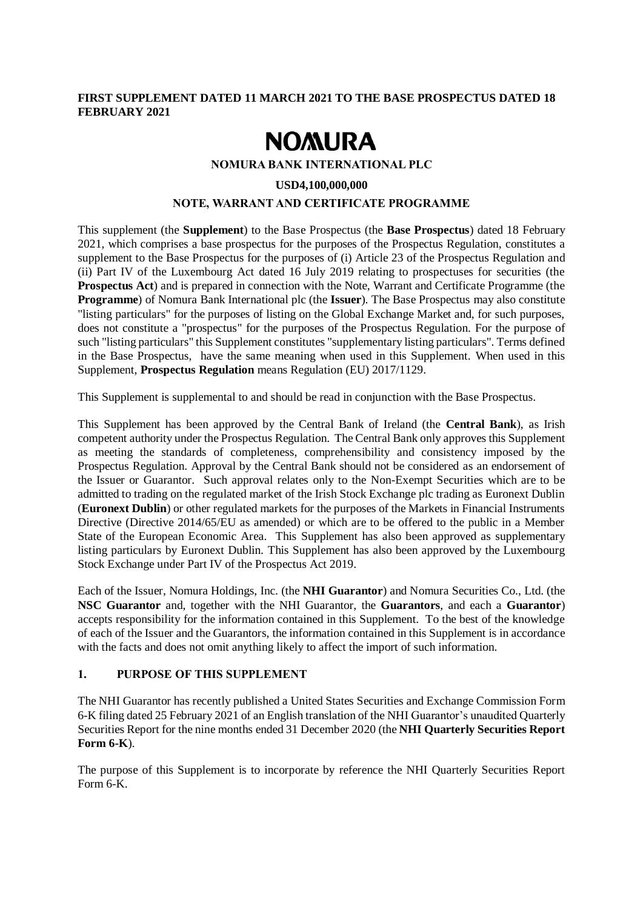### **FIRST SUPPLEMENT DATED 11 MARCH 2021 TO THE BASE PROSPECTUS DATED 18 FEBRUARY 2021**

# **NOMURA**

**NOMURA BANK INTERNATIONAL PLC**

#### **USD4,100,000,000**

#### **NOTE, WARRANT AND CERTIFICATE PROGRAMME**

This supplement (the **Supplement**) to the Base Prospectus (the **Base Prospectus**) dated 18 February 2021, which comprises a base prospectus for the purposes of the Prospectus Regulation, constitutes a supplement to the Base Prospectus for the purposes of (i) Article 23 of the Prospectus Regulation and (ii) Part IV of the Luxembourg Act dated 16 July 2019 relating to prospectuses for securities (the **Prospectus Act**) and is prepared in connection with the Note, Warrant and Certificate Programme (the **Programme**) of Nomura Bank International plc (the **Issuer**). The Base Prospectus may also constitute "listing particulars" for the purposes of listing on the Global Exchange Market and, for such purposes, does not constitute a "prospectus" for the purposes of the Prospectus Regulation. For the purpose of such "listing particulars" this Supplement constitutes "supplementary listing particulars". Terms defined in the Base Prospectus, have the same meaning when used in this Supplement. When used in this Supplement, **Prospectus Regulation** means Regulation (EU) 2017/1129.

This Supplement is supplemental to and should be read in conjunction with the Base Prospectus.

This Supplement has been approved by the Central Bank of Ireland (the **Central Bank**), as Irish competent authority under the Prospectus Regulation. The Central Bank only approves this Supplement as meeting the standards of completeness, comprehensibility and consistency imposed by the Prospectus Regulation. Approval by the Central Bank should not be considered as an endorsement of the Issuer or Guarantor. Such approval relates only to the Non-Exempt Securities which are to be admitted to trading on the regulated market of the Irish Stock Exchange plc trading as Euronext Dublin (**Euronext Dublin**) or other regulated markets for the purposes of the Markets in Financial Instruments Directive (Directive 2014/65/EU as amended) or which are to be offered to the public in a Member State of the European Economic Area. This Supplement has also been approved as supplementary listing particulars by Euronext Dublin. This Supplement has also been approved by the Luxembourg Stock Exchange under Part IV of the Prospectus Act 2019.

Each of the Issuer, Nomura Holdings, Inc. (the **NHI Guarantor**) and Nomura Securities Co., Ltd. (the **NSC Guarantor** and, together with the NHI Guarantor, the **Guarantors**, and each a **Guarantor**) accepts responsibility for the information contained in this Supplement. To the best of the knowledge of each of the Issuer and the Guarantors, the information contained in this Supplement is in accordance with the facts and does not omit anything likely to affect the import of such information.

## **1. PURPOSE OF THIS SUPPLEMENT**

The NHI Guarantor has recently published a United States Securities and Exchange Commission Form 6-K filing dated 25 February 2021 of an English translation of the NHI Guarantor's unaudited Quarterly Securities Report for the nine months ended 31 December 2020 (the **NHI Quarterly Securities Report Form 6-K**).

The purpose of this Supplement is to incorporate by reference the NHI Quarterly Securities Report Form 6-K.